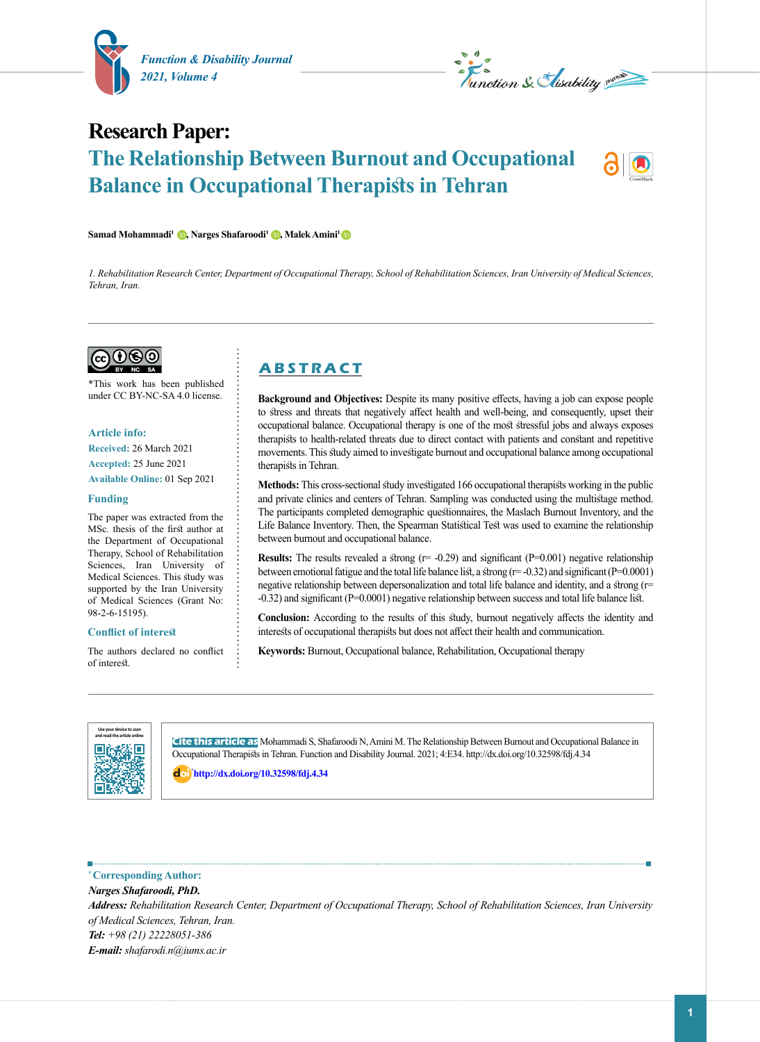

 $\delta$ Samad Mohammadi<sup>1</sup> (**b**, Narges Shafaroodi<sup>1</sup> (**b**, Malek Amini<sup>1</sup> (**b** 



# **Research Paper: The Relationship Between Burnout and Occupational Balance in Occupational Therapists in Tehran**



*1. Rehabilitation Research Center, Department of Occupational Therapy, School of Rehabilitation Sciences, Iran University of Medical Sciences, Tehran, Iran.*



\*This work has been published under CC BY-NC-SA 4.0 license.

### **Article info:**

**Received:** 26 March 2021 **Accepted:** 25 June 2021 **Available Online:** 01 Sep 2021

#### **Funding**

The paper was extracted from the MSc. thesis of the first author at the Department of Occupational Therapy, School of Rehabilitation Sciences, Iran University of Medical Sciences. This study was supported by the Iran University of Medical Sciences (Grant No: 98-2-6-15195).

#### **Conflict of interest**

The authors declared no conflict of interest.

# **A B S T R A C T**

**Background and Objectives:** Despite its many positive effects, having a job can expose people to stress and threats that negatively affect health and well-being, and consequently, upset their occupational balance. Occupational therapy is one of the most stressful jobs and always exposes therapists to health-related threats due to direct contact with patients and constant and repetitive movements. This study aimed to investigate burnout and occupational balance among occupational therapists in Tehran.

**Methods:** This cross-sectional study investigated 166 occupational therapists working in the public and private clinics and centers of Tehran. Sampling was conducted using the multistage method. The participants completed demographic questionnaires, the Maslach Burnout Inventory, and the Life Balance Inventory. Then, the Spearman Statistical Test was used to examine the relationship between burnout and occupational balance.

**Results:** The results revealed a strong (r= -0.29) and significant (P=0.001) negative relationship between emotional fatigue and the total life balance list, a strong ( $r = -0.32$ ) and significant ( $P = 0.0001$ ) negative relationship between depersonalization and total life balance and identity, and a strong (r= -0.32) and significant (P=0.0001) negative relationship between success and total life balance list.

**Conclusion:** According to the results of this study, burnout negatively affects the identity and interests of occupational therapists but does not affect their health and communication.

**Keywords:** Burnout, Occupational balance, Rehabilitation, Occupational therapy



**Cite this article as** Mohammadi S, Shafaroodi N, Amini M. The Relationship Between Burnout and Occupational Balance in Occupational Therapists in Tehran. Function and Disability Journal. 2021; 4:E34. http://dx.doi.org/10.32598/fdj.4.34

: **<http://dx.doi.org/10.32598/fdj.4.34>**

### **\* Corresponding Author:**

*Narges Shafaroodi, PhD. Address: Rehabilitation Research Center, Department of Occupational Therapy, School of Rehabilitation Sciences, Iran University of Medical Sciences, Tehran, Iran. Tel: +98 (21) 22228051-386 E-mail: shafarodi.n@iums.ac.ir*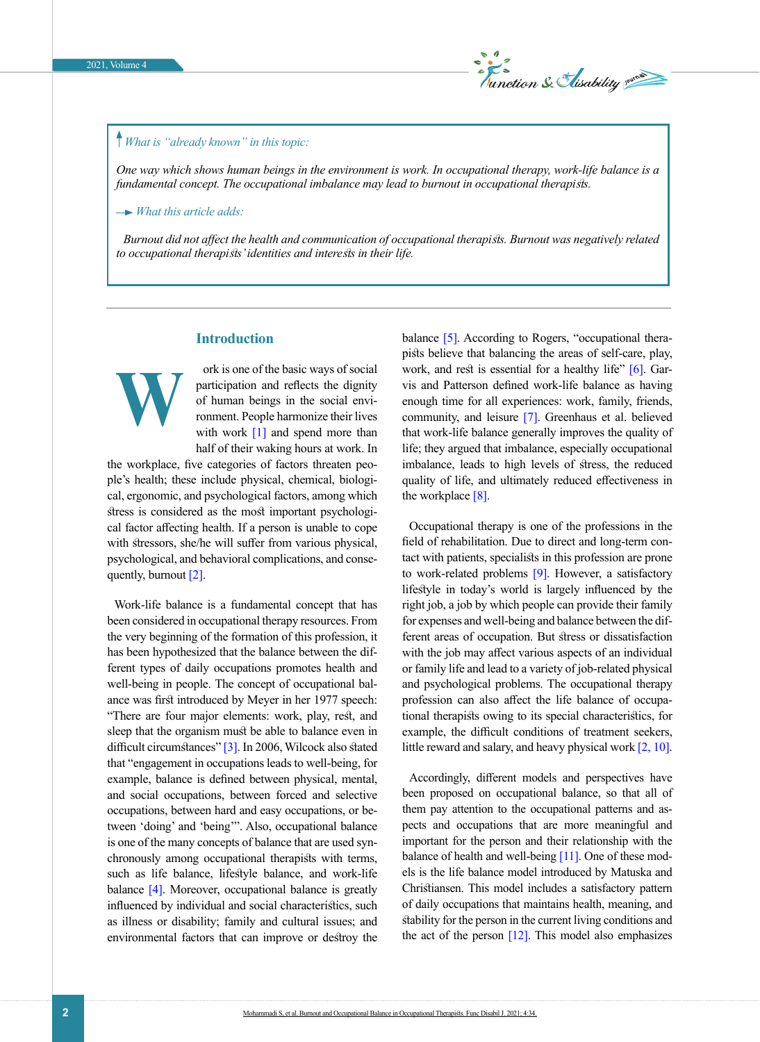

# *What is "already known" in this topic:*

*One way which shows human beings in the environment is work. In occupational therapy, work-life balance is a fundamental concept. The occupational imbalance may lead to burnout in occupational therapists.* 

 *What this article adds:*

*Burnout did not affect the health and communication of occupational therapists. Burnout was negatively related to occupational therapists' identities and interests in their life.*

# **Introduction**

**W**

ork is one of the basic ways of social participation and reflects the dignity of human beings in the social environment. People harmonize their lives with work  $[1]$  and spend more than half of their waking hours at work. In

the workplace, five categories of factors threaten people's health; these include physical, chemical, biological, ergonomic, and psychological factors, among which stress is considered as the most important psychological factor affecting health. If a person is unable to cope with stressors, she/he will suffer from various physical, psychological, and behavioral complications, and consequently, burnout [\[2\].](#page-5-1)

Work-life balance is a fundamental concept that has been considered in occupational therapy resources. From the very beginning of the formation of this profession, it has been hypothesized that the balance between the different types of daily occupations promotes health and well-being in people. The concept of occupational balance was first introduced by Meyer in her 1977 speech: "There are four major elements: work, play, rest, and sleep that the organism must be able to balance even in difficult circumstances" [\[3\]](#page-6-0). In 2006, Wilcock also stated that "engagement in occupations leads to well-being, for example, balance is defined between physical, mental, and social occupations, between forced and selective occupations, between hard and easy occupations, or between 'doing' and 'being'". Also, occupational balance is one of the many concepts of balance that are used synchronously among occupational therapists with terms, such as life balance, lifestyle balance, and work-life balance [4]. Moreover, occupational balance is greatly influenced by individual and social characteristics, such as illness or disability; family and cultural issues; and environmental factors that can improve or destroy the

balance [\[5\].](#page-6-1) According to Rogers, "occupational therapists believe that balancing the areas of self-care, play, work, and rest is essential for a healthy life" [\[6\]](#page-6-2). Garvis and Patterson defined work-life balance as having enough time for all experiences: work, family, friends, community, and leisure [\[7\]](#page-6-3). Greenhaus et al. believed that work-life balance generally improves the quality of life; they argued that imbalance, especially occupational imbalance, leads to high levels of stress, the reduced quality of life, and ultimately reduced effectiveness in the workplace  $[8]$ .

Occupational therapy is one of the professions in the field of rehabilitation. Due to direct and long-term contact with patients, specialists in this profession are prone to work-related problems [\[9\].](#page-6-5) However, a satisfactory lifestyle in today's world is largely influenced by the right job, a job by which people can provide their family for expenses and well-being and balance between the different areas of occupation. But stress or dissatisfaction with the job may affect various aspects of an individual or family life and lead to a variety of job-related physical and psychological problems. The occupational therapy profession can also affect the life balance of occupational therapists owing to its special characteristics, for example, the difficult conditions of treatment seekers, little reward and salary, and heavy physical work [\[2,](#page-5-1) [10\]](#page-6-6).

Accordingly, different models and perspectives have been proposed on occupational balance, so that all of them pay attention to the occupational patterns and aspects and occupations that are more meaningful and important for the person and their relationship with the balance of health and well-being [11]. One of these models is the life balance model introduced by Matuska and Christiansen. This model includes a satisfactory pattern of daily occupations that maintains health, meaning, and stability for the person in the current living conditions and the act of the person  $[12]$ . This model also emphasizes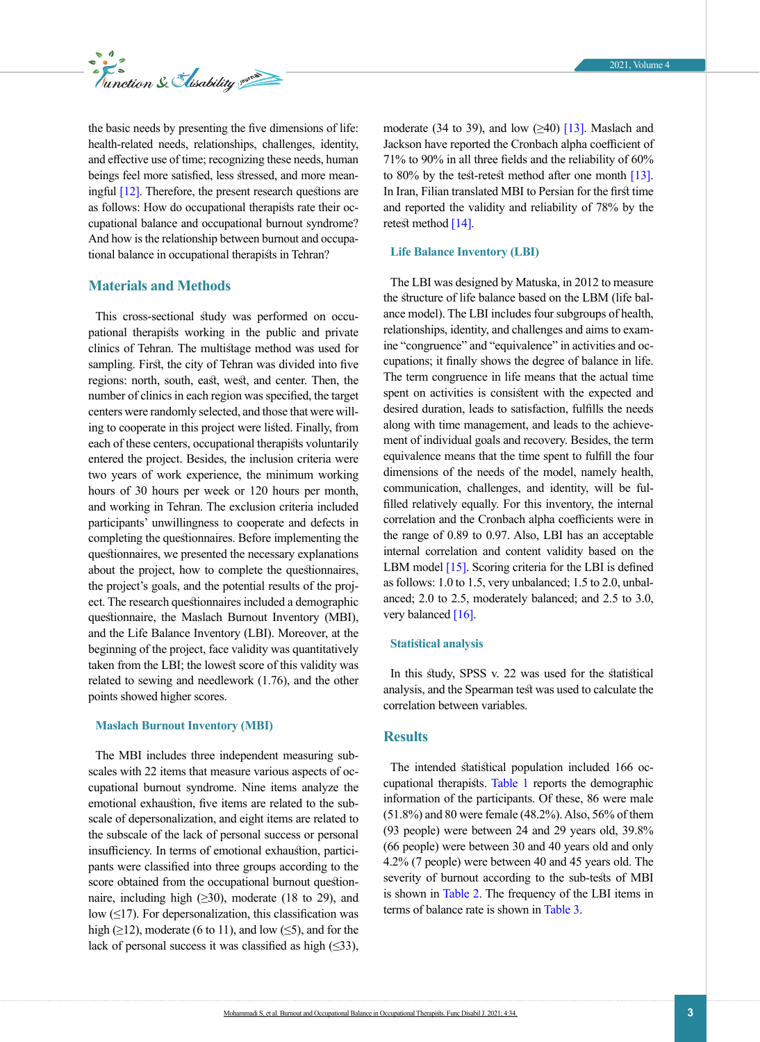

the basic needs by presenting the five dimensions of life: health-related needs, relationships, challenges, identity, and effective use of time; recognizing these needs, human beings feel more satisfied, less stressed, and more meaningful [\[12\].](#page-6-7) Therefore, the present research questions are as follows: How do occupational therapists rate their occupational balance and occupational burnout syndrome? And how is the relationship between burnout and occupational balance in occupational therapists in Tehran?

# **Materials and Methods**

This cross-sectional study was performed on occupational therapists working in the public and private clinics of Tehran. The multistage method was used for sampling. First, the city of Tehran was divided into five regions: north, south, east, west, and center. Then, the number of clinics in each region was specified, the target centers were randomly selected, and those that were willing to cooperate in this project were listed. Finally, from each of these centers, occupational therapists voluntarily entered the project. Besides, the inclusion criteria were two years of work experience, the minimum working hours of 30 hours per week or 120 hours per month, and working in Tehran. The exclusion criteria included participants' unwillingness to cooperate and defects in completing the questionnaires. Before implementing the questionnaires, we presented the necessary explanations about the project, how to complete the questionnaires, the project's goals, and the potential results of the project. The research questionnaires included a demographic questionnaire, the Maslach Burnout Inventory (MBI), and the Life Balance Inventory (LBI). Moreover, at the beginning of the project, face validity was quantitatively taken from the LBI; the lowest score of this validity was related to sewing and needlework (1.76), and the other points showed higher scores.

# **Maslach Burnout Inventory (MBI)**

The MBI includes three independent measuring subscales with 22 items that measure various aspects of occupational burnout syndrome. Nine items analyze the emotional exhaustion, five items are related to the subscale of depersonalization, and eight items are related to the subscale of the lack of personal success or personal insufficiency. In terms of emotional exhaustion, participants were classified into three groups according to the score obtained from the occupational burnout questionnaire, including high  $(\geq 30)$ , moderate (18 to 29), and low  $(≤17)$ . For depersonalization, this classification was high ( $\geq$ 12), moderate (6 to 11), and low ( $\leq$ 5), and for the lack of personal success it was classified as high  $(\leq 33)$ , moderate (34 to 39), and low  $(\geq 40)$  [\[13\].](#page-6-8) Maslach and Jackson have reported the Cronbach alpha coefficient of 71% to 90% in all three fields and the reliability of 60% to 80% by the test-retest method after one month  $[13]$ . In Iran, Filian translated MBI to Persian for the first time and reported the validity and reliability of 78% by the retest method [\[14\]](#page-6-9).

# **Life Balance Inventory (LBI)**

The LBI was designed by Matuska, in 2012 to measure the structure of life balance based on the LBM (life balance model). The LBI includes four subgroups of health, relationships, identity, and challenges and aims to examine "congruence" and "equivalence" in activities and occupations; it finally shows the degree of balance in life. The term congruence in life means that the actual time spent on activities is consistent with the expected and desired duration, leads to satisfaction, fulfills the needs along with time management, and leads to the achievement of individual goals and recovery. Besides, the term equivalence means that the time spent to fulfill the four dimensions of the needs of the model, namely health, communication, challenges, and identity, will be fulfilled relatively equally. For this inventory, the internal correlation and the Cronbach alpha coefficients were in the range of 0.89 to 0.97. Also, LBI has an acceptable internal correlation and content validity based on the LBM model [\[15\]](#page-6-10). Scoring criteria for the LBI is defined as follows: 1.0 to 1.5, very unbalanced; 1.5 to 2.0, unbalanced; 2.0 to 2.5, moderately balanced; and 2.5 to 3.0, very balanced [\[16\].](#page-6-11)

#### **Statistical analysis**

In this study, SPSS v. 22 was used for the statistical analysis, and the Spearman test was used to calculate the correlation between variables.

# **Results**

The intended statistical population included 166 occupational therapists. [Table 1](#page-3-0) reports the demographic information of the participants. Of these, 86 were male (51.8%) and 80 were female (48.2%). Also, 56% of them (93 people) were between 24 and 29 years old, 39.8% (66 people) were between 30 and 40 years old and only 4.2% (7 people) were between 40 and 45 years old. The severity of burnout according to the sub-tests of MBI is shown in [Table 2](#page-3-1). The frequency of the LBI items in terms of balance rate is shown in [Table 3.](#page-4-0)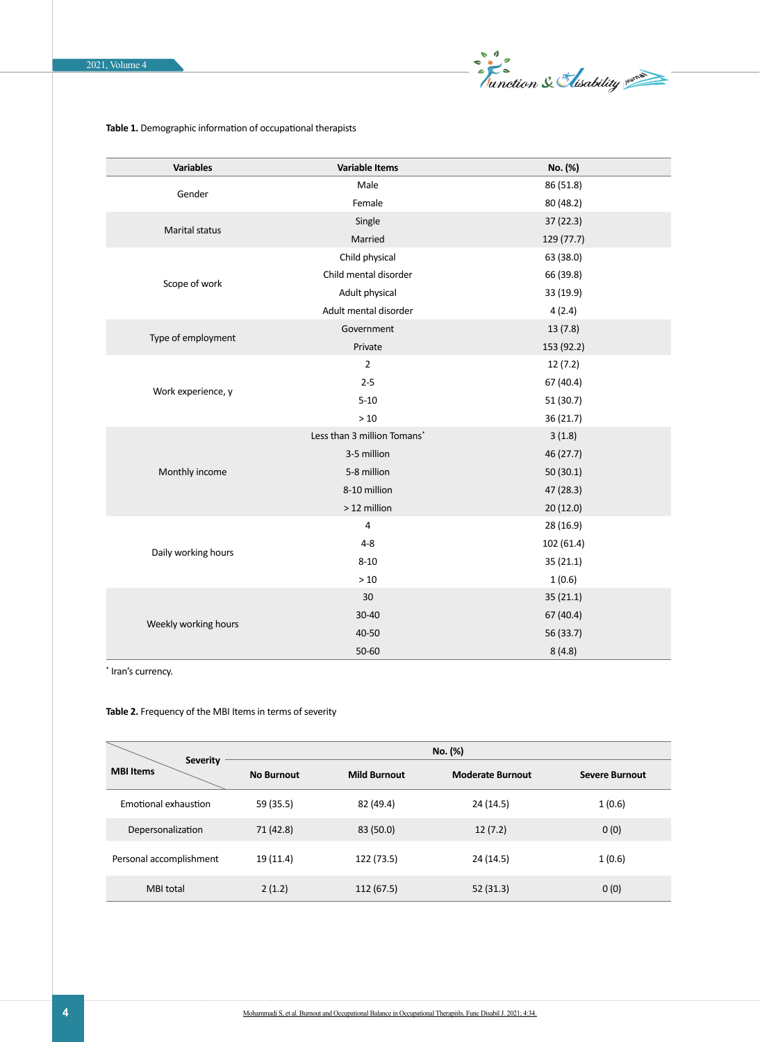

# <span id="page-3-0"></span>**Table 1.** Demographic information of occupational therapists

| <b>Variables</b>      | <b>Variable Items</b>       | No. (%)    |
|-----------------------|-----------------------------|------------|
| Gender                | Male                        | 86 (51.8)  |
|                       | Female                      | 80 (48.2)  |
| <b>Marital status</b> | Single                      | 37(22.3)   |
|                       | Married                     | 129 (77.7) |
| Scope of work         | Child physical              | 63 (38.0)  |
|                       | Child mental disorder       | 66 (39.8)  |
|                       | Adult physical              | 33 (19.9)  |
|                       | Adult mental disorder       | 4(2.4)     |
| Type of employment    | Government                  | 13(7.8)    |
|                       | Private                     | 153 (92.2) |
| Work experience, y    | $\overline{2}$              | 12(7.2)    |
|                       | $2 - 5$                     | 67 (40.4)  |
|                       | $5 - 10$                    | 51 (30.7)  |
|                       | $>10$                       | 36 (21.7)  |
|                       | Less than 3 million Tomans* | 3(1.8)     |
|                       | 3-5 million                 | 46 (27.7)  |
| Monthly income        | 5-8 million                 | 50(30.1)   |
|                       | 8-10 million                | 47 (28.3)  |
|                       | > 12 million                | 20 (12.0)  |
|                       | $\overline{a}$              | 28 (16.9)  |
|                       | $4 - 8$                     | 102 (61.4) |
| Daily working hours   | $8 - 10$                    | 35(21.1)   |
|                       | $>10$                       | 1(0.6)     |
|                       | 30                          | 35(21.1)   |
|                       | 30-40                       | 67 (40.4)  |
| Weekly working hours  | 40-50                       | 56 (33.7)  |
|                       | 50-60                       | 8(4.8)     |

\* Iran's currency.

# <span id="page-3-1"></span>**Table 2.** Frequency of the MBI Items in terms of severity

|                                     | No. (%)           |                     |                         |                       |
|-------------------------------------|-------------------|---------------------|-------------------------|-----------------------|
| <b>Severity</b><br><b>MBI Items</b> | <b>No Burnout</b> | <b>Mild Burnout</b> | <b>Moderate Burnout</b> | <b>Severe Burnout</b> |
| Emotional exhaustion                | 59 (35.5)         | 82 (49.4)           | 24 (14.5)               | 1(0.6)                |
| Depersonalization                   | 71 (42.8)         | 83 (50.0)           | 12(7.2)                 | 0(0)                  |
| Personal accomplishment             | 19 (11.4)         | 122 (73.5)          | 24 (14.5)               | 1(0.6)                |
| <b>MBI</b> total                    | 2(1.2)            | 112 (67.5)          | 52(31.3)                | 0(0)                  |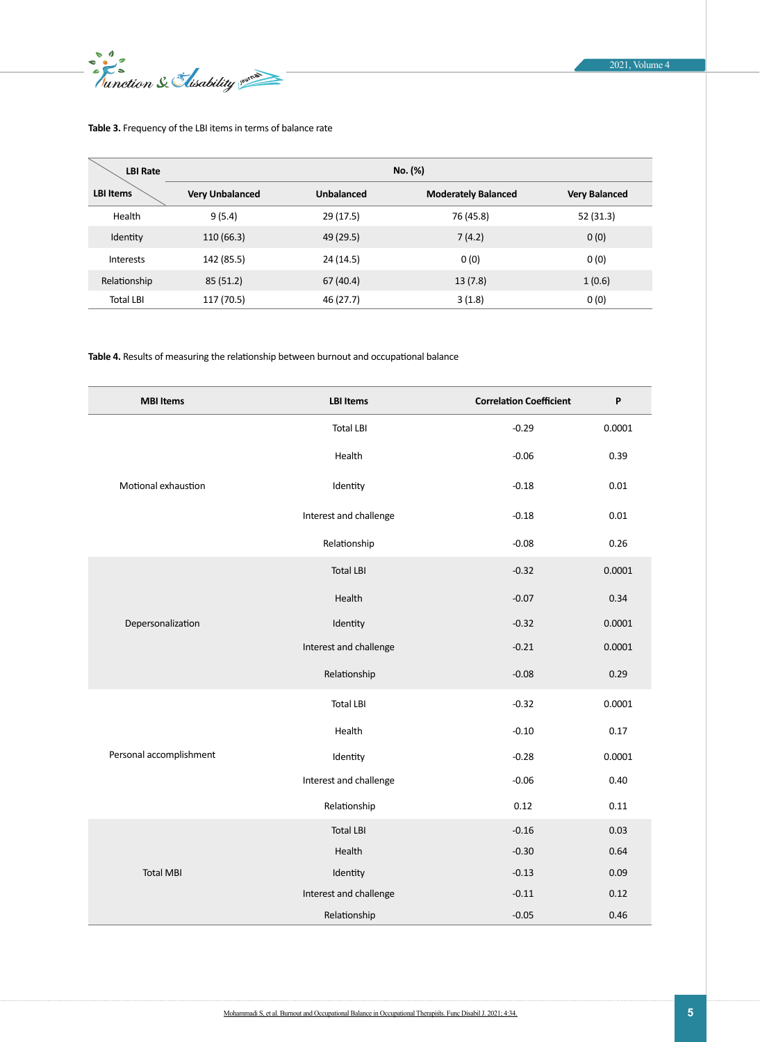End 2

### 2021, Volume 4

# <span id="page-4-0"></span>**Table 3.** Frequency of the LBI items in terms of balance rate

| <b>LBI Rate</b>  | No. (%)                |            |                            |                      |
|------------------|------------------------|------------|----------------------------|----------------------|
| <b>LBI Items</b> | <b>Very Unbalanced</b> | Unbalanced | <b>Moderately Balanced</b> | <b>Very Balanced</b> |
| Health           | 9(5.4)                 | 29 (17.5)  | 76 (45.8)                  | 52 (31.3)            |
| Identity         | 110 (66.3)             | 49 (29.5)  | 7(4.2)                     | 0(0)                 |
| Interests        | 142 (85.5)             | 24 (14.5)  | 0(0)                       | 0(0)                 |
| Relationship     | 85 (51.2)              | 67 (40.4)  | 13(7.8)                    | 1(0.6)               |
| <b>Total LBI</b> | 117 (70.5)             | 46 (27.7)  | 3(1.8)                     | 0(0)                 |

<span id="page-4-1"></span>**Table 4.** Results of measuring the relationship between burnout and occupational balance

| <b>MBI Items</b>        | <b>LBI Items</b>       | <b>Correlation Coefficient</b> | P      |
|-------------------------|------------------------|--------------------------------|--------|
| Motional exhaustion     | <b>Total LBI</b>       | $-0.29$                        | 0.0001 |
|                         | Health                 | $-0.06$                        | 0.39   |
|                         | Identity               | $-0.18$                        | 0.01   |
|                         | Interest and challenge | $-0.18$                        | 0.01   |
|                         | Relationship           | $-0.08$                        | 0.26   |
| Depersonalization       | <b>Total LBI</b>       | $-0.32$                        | 0.0001 |
|                         | Health                 | $-0.07$                        | 0.34   |
|                         | Identity               | $-0.32$                        | 0.0001 |
|                         | Interest and challenge | $-0.21$                        | 0.0001 |
|                         | Relationship           | $-0.08$                        | 0.29   |
| Personal accomplishment | <b>Total LBI</b>       | $-0.32$                        | 0.0001 |
|                         | Health                 | $-0.10$                        | 0.17   |
|                         | Identity               | $-0.28$                        | 0.0001 |
|                         | Interest and challenge | $-0.06$                        | 0.40   |
|                         | Relationship           | 0.12                           | 0.11   |
|                         | <b>Total LBI</b>       | $-0.16$                        | 0.03   |
| <b>Total MBI</b>        | Health                 | $-0.30$                        | 0.64   |
|                         | Identity               | $-0.13$                        | 0.09   |
|                         | Interest and challenge | $-0.11$                        | 0.12   |
|                         | Relationship           | $-0.05$                        | 0.46   |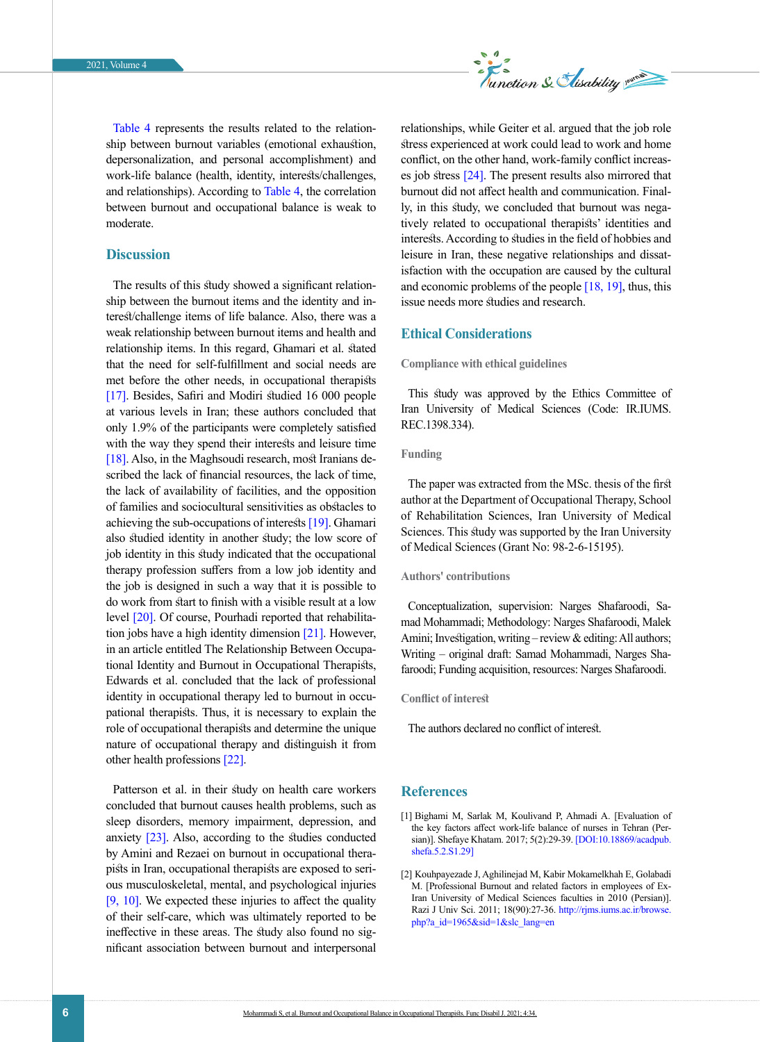

[Table 4](#page-4-1) represents the results related to the relationship between burnout variables (emotional exhaustion, depersonalization, and personal accomplishment) and work-life balance (health, identity, interests/challenges, and relationships). According to [Table 4,](#page-4-1) the correlation between burnout and occupational balance is weak to moderate.

# **Discussion**

The results of this study showed a significant relationship between the burnout items and the identity and interest/challenge items of life balance. Also, there was a weak relationship between burnout items and health and relationship items. In this regard, Ghamari et al. stated that the need for self-fulfillment and social needs are met before the other needs, in occupational therapists [\[17\]](#page-6-12). Besides, Safiri and Modiri studied 16 000 people at various levels in Iran; these authors concluded that only 1.9% of the participants were completely satisfied with the way they spend their interests and leisure time [\[18\]](#page-6-13). Also, in the Maghsoudi research, most Iranians described the lack of financial resources, the lack of time, the lack of availability of facilities, and the opposition of families and sociocultural sensitivities as obstacles to achieving the sub-occupations of interests [\[19\]](#page-6-14). Ghamari also studied identity in another study; the low score of job identity in this study indicated that the occupational therapy profession suffers from a low job identity and the job is designed in such a way that it is possible to do work from start to finish with a visible result at a low level [\[20\].](#page-6-12) Of course, Pourhadi reported that rehabilitation jobs have a high identity dimension [\[21\]](#page-6-15). However, in an article entitled The Relationship Between Occupational Identity and Burnout in Occupational Therapists, Edwards et al. concluded that the lack of professional identity in occupational therapy led to burnout in occupational therapists. Thus, it is necessary to explain the role of occupational therapists and determine the unique nature of occupational therapy and distinguish it from other health professions [\[22\]](#page-6-16).

Patterson et al. in their study on health care workers concluded that burnout causes health problems, such as sleep disorders, memory impairment, depression, and anxiety [23]. Also, according to the studies conducted by Amini and Rezaei on burnout in occupational therapists in Iran, occupational therapists are exposed to serious musculoskeletal, mental, and psychological injuries [\[9,](#page-6-5) [10\]](#page-6-6). We expected these injuries to affect the quality of their self-care, which was ultimately reported to be ineffective in these areas. The study also found no significant association between burnout and interpersonal relationships, while Geiter et al. argued that the job role stress experienced at work could lead to work and home conflict, on the other hand, work-family conflict increases job stress [\[24\].](#page-6-17) The present results also mirrored that burnout did not affect health and communication. Finally, in this study, we concluded that burnout was negatively related to occupational therapists' identities and interests. According to studies in the field of hobbies and leisure in Iran, these negative relationships and dissatisfaction with the occupation are caused by the cultural and economic problems of the people [\[18,](#page-6-13) [19\]](#page-6-14), thus, this issue needs more studies and research.

# **Ethical Considerations**

**Compliance with ethical guidelines**

This study was approved by the Ethics Committee of Iran University of Medical Sciences (Code: IR.IUMS. REC.1398.334).

# **Funding**

The paper was extracted from the MSc. thesis of the first author at the Department of Occupational Therapy, School of Rehabilitation Sciences, Iran University of Medical Sciences. This study was supported by the Iran University of Medical Sciences (Grant No: 98-2-6-15195).

# **Authors' contributions**

Conceptualization, supervision: Narges Shafaroodi, Samad Mohammadi; Methodology: Narges Shafaroodi, Malek Amini; Investigation, writing – review & editing: All authors; Writing – original draft: Samad Mohammadi, Narges Shafaroodi; Funding acquisition, resources: Narges Shafaroodi.

**Conflict of interest**

The authors declared no conflict of interest.

# **References**

- <span id="page-5-0"></span>[1] Bighami M, Sarlak M, Koulivand P, Ahmadi A. [Evaluation of the key factors affect work-life balance of nurses in Tehran (Persian)]. Shefaye Khatam. 2017; 5(2):29-39. [\[DOI:10.18869/acadpub.](https://doi.org/10.18869/acadpub.shefa.5.2.S1.29) [shefa.5.2.S1.29\]](https://doi.org/10.18869/acadpub.shefa.5.2.S1.29)
- <span id="page-5-1"></span>[2] Kouhpayezade J, Aghilinejad M, Kabir Mokamelkhah E, Golabadi M. [Professional Burnout and related factors in employees of Ex-Iran University of Medical Sciences faculties in 2010 (Persian)]. Razi J Univ Sci. 2011; 18(90):27-36. [http://rjms.iums.ac.ir/browse.](http://rjms.iums.ac.ir/browse.php?a_id=1965&sid=1&slc_lang=en) [php?a\\_id=1965&sid=1&slc\\_lang=en](http://rjms.iums.ac.ir/browse.php?a_id=1965&sid=1&slc_lang=en)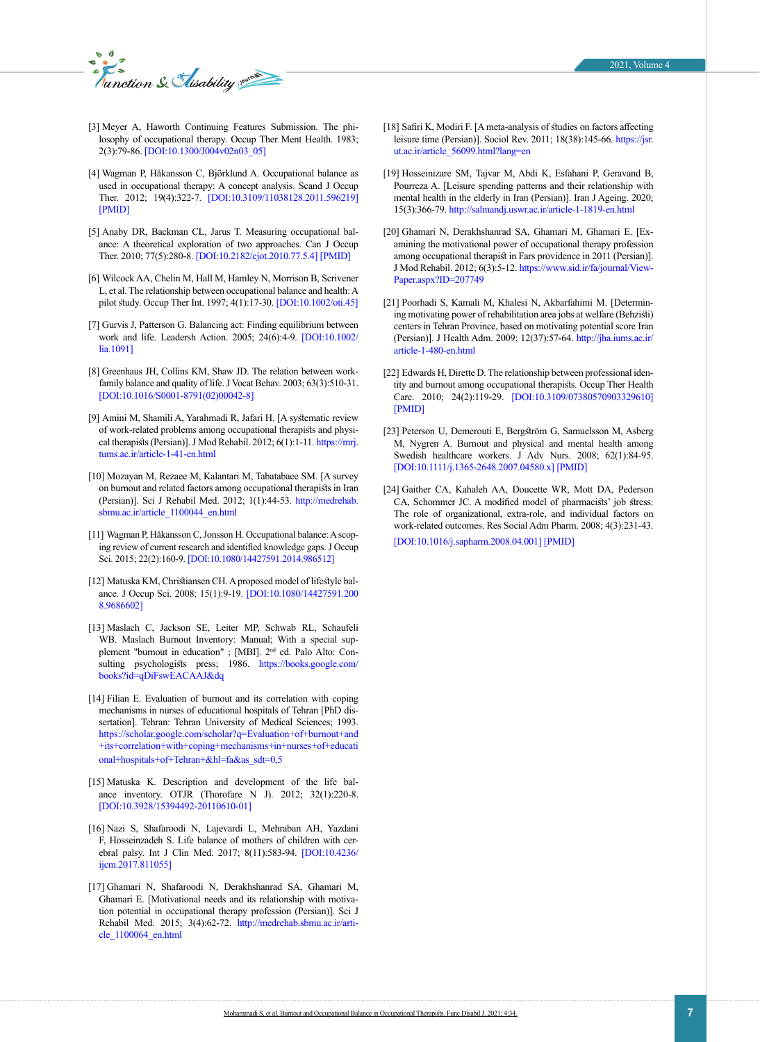

- <span id="page-6-0"></span>[3] Meyer A, Haworth Continuing Features Submission. The philosophy of occupational therapy. Occup Ther Ment Health. 1983; 2(3):79-86. [\[DOI:10.1300/J004v02n03\\_05\]](https://doi.org/10.1300/J004v02n03_05)
- [4] Wagman P, Håkansson C, Björklund A. Occupational balance as used in occupational therapy: A concept analysis. Scand J Occup Ther. 2012; 19(4):322-7. [\[DOI:10.3109/11038128.2011.596219](https://doi.org/10.3109/11038128.2011.596219)] [\[PMID](https://www.ncbi.nlm.nih.gov/pubmed/21780985)]
- <span id="page-6-1"></span>[5] Anaby DR, Backman CL, Jarus T. Measuring occupational balance: A theoretical exploration of two approaches. Can J Occup Ther. 2010; 77(5):280-8. [[DOI:10.2182/cjot.2010.77.5.4](https://doi.org/10.2182/cjot.2010.77.5.4)] [\[PMID\]](https://www.ncbi.nlm.nih.gov/pubmed/21268510)
- <span id="page-6-2"></span>[6] Wilcock AA, Chelin M, Hall M, Hamley N, Morrison B, Scrivener L, et al. The relationship between occupational balance and health: A pilot study. Occup Ther Int. 1997; 4(1):17-30. [\[DOI:10.1002/oti.45\]](https://doi.org/10.1002/oti.45)
- <span id="page-6-3"></span>[7] Gurvis J, Patterson G. Balancing act: Finding equilibrium between work and life. Leadersh Action. 2005; 24(6):4-9. [[DOI:10.1002/](https://doi.org/10.1002/lia.1091) [lia.1091](https://doi.org/10.1002/lia.1091)]
- <span id="page-6-4"></span>[8] Greenhaus JH, Collins KM, Shaw JD. The relation between workfamily balance and quality of life. J Vocat Behav. 2003; 63(3):510-31. [\[DOI:10.1016/S0001-8791\(02\)00042-8](https://doi.org/10.1016/S0001-8791(02)00042-8)]
- <span id="page-6-5"></span>[9] Amini M, Shamili A, Yarahmadi R, Jafari H. [A systematic review of work-related problems among occupational therapists and physical therapists (Persian)]. J Mod Rehabil. 2012; 6(1):1-11. [https://mrj.](https://mrj.tums.ac.ir/article-1-41-en.html) [tums.ac.ir/article-1-41-en.html](https://mrj.tums.ac.ir/article-1-41-en.html)
- <span id="page-6-6"></span>[10] Mozayan M, Rezaee M, Kalantari M, Tabatabaee SM. [A survey on burnout and related factors among occupational therapists in Iran (Persian)]. Sci J Rehabil Med. 2012; 1(1):44-53. [http://medrehab.](http://medrehab.sbmu.ac.ir/article_1100044_en.html) [sbmu.ac.ir/article\\_1100044\\_en.html](http://medrehab.sbmu.ac.ir/article_1100044_en.html)
- [11] Wagman P, Håkansson C, Jonsson H. Occupational balance: A scoping review of current research and identified knowledge gaps. J Occup Sci. 2015; 22(2):160-9. [\[DOI:10.1080/14427591.2014.986512\]](https://doi.org/10.1080/14427591.2014.986512)
- <span id="page-6-7"></span>[12] Matuska KM, Christiansen CH. A proposed model of lifestyle balance. J Occup Sci. 2008; 15(1):9-19. [\[DOI:10.1080/14427591.200](https://doi.org/10.1080/14427591.2008.9686602) [8.9686602](https://doi.org/10.1080/14427591.2008.9686602)]
- <span id="page-6-8"></span>[13] Maslach C, Jackson SE, Leiter MP, Schwab RL, Schaufeli WB. Maslach Burnout Inventory: Manual; With a special supplement "burnout in education" ; [MBI]. 2<sup>nd</sup> ed. Palo Alto: Consulting psychologists press; 1986. [https://books.google.com/](https://books.google.com/books?id=qDiFswEACAAJ&dq=Maslach+burnout+inventory&hl=fa&sa=X&ved=2ahUKEwj80_n8-tDxAhXRoVwKHXViDgsQ6AEwA3oECAYQAQ) [books?id=qDiFswEACAAJ&dq](https://books.google.com/books?id=qDiFswEACAAJ&dq=Maslach+burnout+inventory&hl=fa&sa=X&ved=2ahUKEwj80_n8-tDxAhXRoVwKHXViDgsQ6AEwA3oECAYQAQ)
- <span id="page-6-9"></span>[14] Filian E. Evaluation of burnout and its correlation with coping mechanisms in nurses of educational hospitals of Tehran [PhD dissertation]. Tehran: Tehran University of Medical Sciences; 1993. [https://scholar.google.com/scholar?q=Evaluation+of+burnout+and](https://scholar.google.com/scholar?q=Evaluation+of+burnout+and+its+correlation+with+coping+mechanisms+in+nurses+of+educational+hospitals+of+Tehran+&hl=fa&as_sdt=0,5
) [+its+correlation+with+coping+mechanisms+in+nurses+of+educati](https://scholar.google.com/scholar?q=Evaluation+of+burnout+and+its+correlation+with+coping+mechanisms+in+nurses+of+educational+hospitals+of+Tehran+&hl=fa&as_sdt=0,5
) [onal+hospitals+of+Tehran+&hl=fa&as\\_sdt=0,5](https://scholar.google.com/scholar?q=Evaluation+of+burnout+and+its+correlation+with+coping+mechanisms+in+nurses+of+educational+hospitals+of+Tehran+&hl=fa&as_sdt=0,5
)
- <span id="page-6-10"></span>[15] Matuska K. Description and development of the life balance inventory. OTJR (Thorofare N J). 2012; 32(1):220-8. [\[DOI:10.3928/15394492-20110610-01](https://doi.org/10.3928/15394492-20110610-01)]
- <span id="page-6-11"></span>[16] Nazi S, Shafaroodi N, Lajevardi L, Mehraban AH, Yazdani F, Hosseinzadeh S. Life balance of mothers of children with cerebral palsy. Int J Clin Med. 2017; 8(11):583-94. [[DOI:10.4236/](https://doi.org/10.4236/ijcm.2017.811055) [ijcm.2017.811055](https://doi.org/10.4236/ijcm.2017.811055)]
- [17] Ghamari N, Shafaroodi N, Derakhshanrad SA, Ghamari M, Ghamari E. [Motivational needs and its relationship with motivation potential in occupational therapy profession (Persian)]. Sci J Rehabil Med. 2015; 3(4):62-72. [http://medrehab.sbmu.ac.ir/arti](http://medrehab.sbmu.ac.ir/article_1100064_en.html)[cle\\_1100064\\_en.html](http://medrehab.sbmu.ac.ir/article_1100064_en.html)
- <span id="page-6-13"></span>[18] Safiri K, Modiri F. [A meta-analysis of studies on factors affecting leisure time (Persian)]. Sociol Rev. 2011; 18(38):145-66. [https://jsr.](https://jsr.ut.ac.ir/article_56099.html?lang=en) [ut.ac.ir/article\\_56099.html?lang=en](https://jsr.ut.ac.ir/article_56099.html?lang=en)
- <span id="page-6-14"></span>[19] Hosseinizare SM, Tajvar M, Abdi K, Esfahani P, Geravand B, Pourreza A. [Leisure spending patterns and their relationship with mental health in the elderly in Iran (Persian)]. Iran J Ageing. 2020; 15(3):366-79. [http://salmandj.uswr.ac.ir/article-1-1819-en.html](http://salmandj.uswr.ac.ir/article-1-1819-en.html  )
- <span id="page-6-12"></span>[20] Ghamari N, Derakhshanrad SA, Ghamari M, Ghamari E. [Examining the motivational power of occupational therapy profession among occupational therapist in Fars providence in 2011 (Persian)]. J Mod Rehabil. 2012; 6(3):5-12. [https://www.sid.ir/fa/journal/View-](https://www.sid.ir/fa/journal/ViewPaper.aspx?ID=207749)[Paper.aspx?ID=207749](https://www.sid.ir/fa/journal/ViewPaper.aspx?ID=207749)
- <span id="page-6-15"></span>[21] Poorhadi S, Kamali M, Khalesi N, Akbarfahimi M. [Determining motivating power of rehabilitation area jobs at welfare (Behzisti) centers in Tehran Province, based on motivating potential score Iran (Persian)]. J Health Adm. 2009; 12(37):57-64. [http://jha.iums.ac.ir/](http://jha.iums.ac.ir/article-1-480-en.html) [article-1-480-en.html](http://jha.iums.ac.ir/article-1-480-en.html)
- <span id="page-6-16"></span>[22] Edwards H, Dirette D. The relationship between professional identity and burnout among occupational therapists. Occup Ther Health Care. 2010; 24(2):119-29. [\[DOI:10.3109/07380570903329610\]](https://doi.org/10.3109/07380570903329610) [[PMID](https://www.ncbi.nlm.nih.gov/pubmed/23898898)]
- [23] Peterson U, Demerouti E, Bergström G, Samuelsson M, Asberg M, Nygren A. Burnout and physical and mental health among Swedish healthcare workers. J Adv Nurs. 2008; 62(1):84-95. [[DOI:10.1111/j.1365-2648.2007.04580.x](https://doi.org/10.1111/j.1365-2648.2007.04580.x)] [\[PMID\]](https://www.ncbi.nlm.nih.gov/pubmed/18352967)
- <span id="page-6-17"></span>[24] Gaither CA, Kahaleh AA, Doucette WR, Mott DA, Pederson CA, Schommer JC. A modified model of pharmacists' job stress: The role of organizational, extra-role, and individual factors on work-related outcomes. Res Social Adm Pharm. 2008; 4(3):231-43.

[[DOI:10.1016/j.sapharm.2008.04.001](https://doi.org/10.1016/j.sapharm.2008.04.001)] [\[PMID](https://www.ncbi.nlm.nih.gov/pubmed/18794034)]